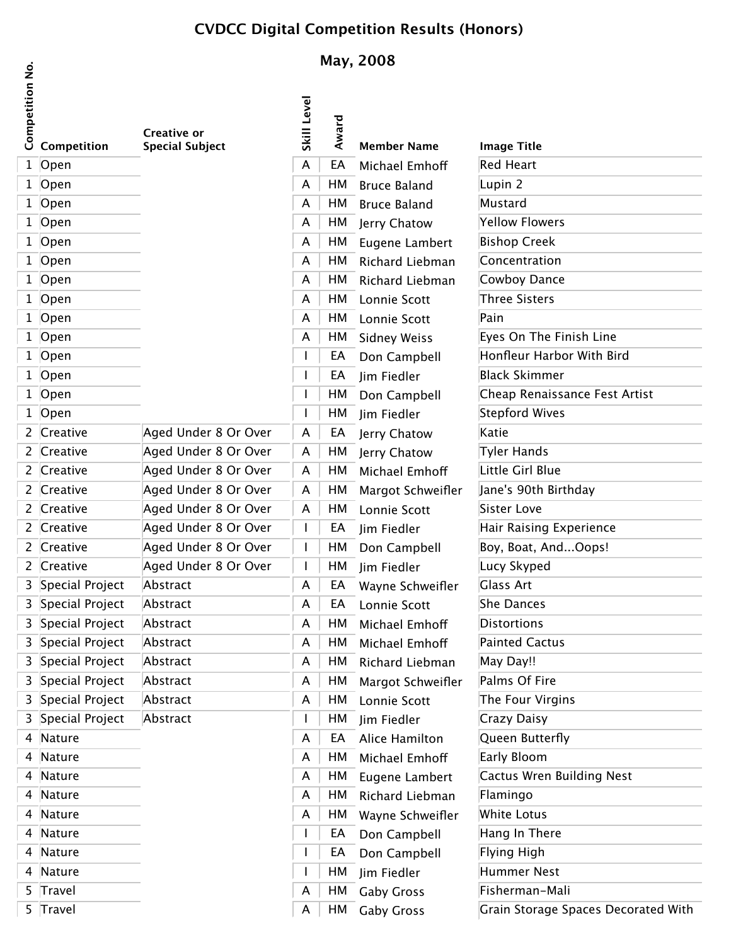## **CVDCC Digital Competition Results (Honors)**

## **May, 2008**

|                 |                   |                                       |             | May, 2008 |                     |                                     |  |  |
|-----------------|-------------------|---------------------------------------|-------------|-----------|---------------------|-------------------------------------|--|--|
| Competition No. | Competition       | Creative or<br><b>Special Subject</b> | Skill Level | Award     | <b>Member Name</b>  | <b>Image Title</b>                  |  |  |
|                 | $1$ Open          |                                       | A           | EA        | Michael Emhoff      | <b>Red Heart</b>                    |  |  |
|                 | $1$ Open          |                                       | A           | HM        | <b>Bruce Baland</b> | Lupin 2                             |  |  |
|                 | 1 Open            |                                       | A           | HM        | <b>Bruce Baland</b> | Mustard                             |  |  |
|                 | 1 Open            |                                       | A           | НM        | Jerry Chatow        | <b>Yellow Flowers</b>               |  |  |
|                 | 1 Open            |                                       | A           | HM        | Eugene Lambert      | <b>Bishop Creek</b>                 |  |  |
|                 | $1$ Open          |                                       | A           | HM        | Richard Liebman     | Concentration                       |  |  |
|                 | 1 Open            |                                       | A           | HM        | Richard Liebman     | Cowboy Dance                        |  |  |
|                 | 1 Open            |                                       | A           | HM        | Lonnie Scott        | Three Sisters                       |  |  |
|                 | 1 Open            |                                       | A           | HM        | Lonnie Scott        | Pain                                |  |  |
|                 | 1 Open            |                                       | A           | HМ        | <b>Sidney Weiss</b> | Eyes On The Finish Line             |  |  |
|                 | 1 Open            |                                       |             | EA        | Don Campbell        | Honfleur Harbor With Bird           |  |  |
|                 | 1 Open            |                                       |             | EA        | Jim Fiedler         | <b>Black Skimmer</b>                |  |  |
|                 | 1 Open            |                                       |             | HM        | Don Campbell        | Cheap Renaissance Fest Artist       |  |  |
|                 | 1 Open            |                                       |             | HМ        | Jim Fiedler         | Stepford Wives                      |  |  |
|                 | 2 Creative        | Aged Under 8 Or Over                  | A           | EA        | Jerry Chatow        | Katie                               |  |  |
|                 | 2 Creative        | Aged Under 8 Or Over                  | A           | HM        | Jerry Chatow        | Tyler Hands                         |  |  |
|                 | 2 Creative        | Aged Under 8 Or Over                  | A           | HM        | Michael Emhoff      | Little Girl Blue                    |  |  |
|                 | 2 Creative        | Aged Under 8 Or Over                  | A           | HM        | Margot Schweifler   | Jane's 90th Birthday                |  |  |
|                 | 2 Creative        | Aged Under 8 Or Over                  | A           | HM        | Lonnie Scott        | Sister Love                         |  |  |
|                 | 2 Creative        | Aged Under 8 Or Over                  |             | EA        | Jim Fiedler         | Hair Raising Experience             |  |  |
|                 | 2 Creative        | Aged Under 8 Or Over                  |             | HM        | Don Campbell        | Boy, Boat, AndOops!                 |  |  |
|                 | 2 Creative        | Aged Under 8 Or Over                  |             | HM        | Jim Fiedler         | Lucy Skyped                         |  |  |
|                 | 3 Special Project | Abstract                              | A           | EA        | Wayne Schweifler    | <b>Glass Art</b>                    |  |  |
|                 | 3 Special Project | Abstract                              | A           | EA        | Lonnie Scott        | She Dances                          |  |  |
|                 | 3 Special Project | Abstract                              | A           | HM        | Michael Emhoff      | <b>Distortions</b>                  |  |  |
|                 | 3 Special Project | Abstract                              | A           | HM        | Michael Emhoff      | <b>Painted Cactus</b>               |  |  |
|                 | 3 Special Project | Abstract                              | A           | HM        | Richard Liebman     | May Day!!                           |  |  |
|                 | 3 Special Project | Abstract                              | A           | HM        | Margot Schweifler   | Palms Of Fire                       |  |  |
|                 | 3 Special Project | Abstract                              | A           | HM        | Lonnie Scott        | The Four Virgins                    |  |  |
|                 | 3 Special Project | Abstract                              |             | HМ        | Jim Fiedler         | Crazy Daisy                         |  |  |
|                 | 4 Nature          |                                       | A           | EA        | Alice Hamilton      | Queen Butterfly                     |  |  |
|                 | 4 Nature          |                                       | A           | HM        | Michael Emhoff      | Early Bloom                         |  |  |
|                 | 4 Nature          |                                       | A           | HM        | Eugene Lambert      | Cactus Wren Building Nest           |  |  |
|                 | 4 Nature          |                                       | A           | HM        | Richard Liebman     | Flamingo                            |  |  |
|                 | 4 Nature          |                                       | A           | HМ        | Wayne Schweifler    | White Lotus                         |  |  |
|                 | 4 Nature          |                                       |             | EA        | Don Campbell        | Hang In There                       |  |  |
|                 | 4 Nature          |                                       |             | EA        | Don Campbell        | Flying High                         |  |  |
|                 | 4 Nature          |                                       |             | HМ        | Jim Fiedler         | Hummer Nest                         |  |  |
|                 | 5 Travel          |                                       | A           | HM        | <b>Gaby Gross</b>   | Fisherman-Mali                      |  |  |
|                 | 5 Travel          |                                       | A           | HM        | <b>Gaby Gross</b>   | Grain Storage Spaces Decorated With |  |  |